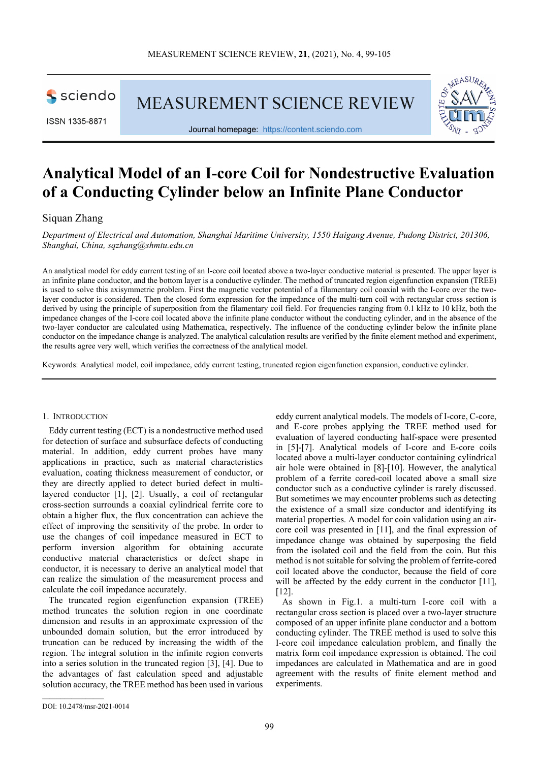sciendo

ISSN 1335-8871

MEASUREMENT SCIENCE REVIEW



Journal homepage: [https://content.sciendo.com](https://content.sciendo.com/view/journals/msr/msr-overview.xml)

# **Analytical Model of an I-core Coil for Nondestructive Evaluation of a Conducting Cylinder below an Infinite Plane Conductor**

## Siquan Zhang

*Department of Electrical and Automation, Shanghai Maritime University, 1550 Haigang Avenue, Pudong District, 201306, Shanghai, China, sqzhang@shmtu.edu.cn*

An analytical model for eddy current testing of an I-core coil located above a two-layer conductive material is presented. The upper layer is an infinite plane conductor, and the bottom layer is a conductive cylinder. The method of truncated region eigenfunction expansion (TREE) is used to solve this axisymmetric problem. First the magnetic vector potential of a filamentary coil coaxial with the I-core over the twolayer conductor is considered. Then the closed form expression for the impedance of the multi-turn coil with rectangular cross section is derived by using the principle of superposition from the filamentary coil field. For frequencies ranging from 0.1 kHz to 10 kHz, both the impedance changes of the I-core coil located above the infinite plane conductor without the conducting cylinder, and in the absence of the two-layer conductor are calculated using Mathematica, respectively. The influence of the conducting cylinder below the infinite plane conductor on the impedance change is analyzed. The analytical calculation results are verified by the finite element method and experiment, the results agree very well, which verifies the correctness of the analytical model.

Keywords: Analytical model, coil impedance, eddy current testing, truncated region eigenfunction expansion, conductive cylinder.

#### 1. INTRODUCTION

Eddy current testing (ECT) is a nondestructive method used for detection of surface and subsurface defects of conducting material. In addition, eddy current probes have many applications in practice, such as material characteristics evaluation, coating thickness measurement of conductor, or they are directly applied to detect buried defect in multilayered conductor [1], [2]. Usually, a coil of rectangular cross-section surrounds a coaxial cylindrical ferrite core to obtain a higher flux, the flux concentration can achieve the effect of improving the sensitivity of the probe. In order to use the changes of coil impedance measured in ECT to perform inversion algorithm for obtaining accurate conductive material characteristics or defect shape in conductor, it is necessary to derive an analytical model that can realize the simulation of the measurement process and calculate the coil impedance accurately.

The truncated region eigenfunction expansion (TREE) method truncates the solution region in one coordinate dimension and results in an approximate expression of the unbounded domain solution, but the error introduced by truncation can be reduced by increasing the width of the region. The integral solution in the infinite region converts into a series solution in the truncated region [3], [4]. Due to the advantages of fast calculation speed and adjustable solution accuracy, the TREE method has been used in various

eddy current analytical models. The models of I-core, C-core, and E-core probes applying the TREE method used for evaluation of layered conducting half-space were presented in [5]-[7]. Analytical models of I-core and E-core coils located above a multi-layer conductor containing cylindrical air hole were obtained in [8]-[10]. However, the analytical problem of a ferrite cored-coil located above a small size conductor such as a conductive cylinder is rarely discussed. But sometimes we may encounter problems such as detecting the existence of a small size conductor and identifying its material properties. A model for coin validation using an aircore coil was presented in [11], and the final expression of impedance change was obtained by superposing the field from the isolated coil and the field from the coin. But this method is not suitable for solving the problem of ferrite-cored coil located above the conductor, because the field of core will be affected by the eddy current in the conductor [11]. [12].

As shown in Fig.1. a multi-turn I-core coil with a rectangular cross section is placed over a two-layer structure composed of an upper infinite plane conductor and a bottom conducting cylinder. The TREE method is used to solve this I-core coil impedance calculation problem, and finally the matrix form coil impedance expression is obtained. The coil impedances are calculated in Mathematica and are in good agreement with the results of finite element method and experiments.

 $\mathcal{L}_\text{max}$  and  $\mathcal{L}_\text{max}$  and  $\mathcal{L}_\text{max}$ 

DOI: 10.2478/msr-2021-0014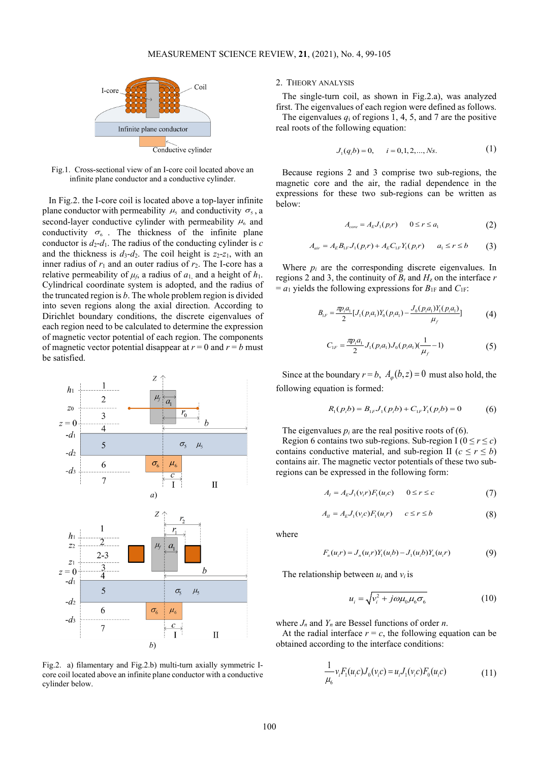

Fig.1. Cross-sectional view of an I-core coil located above an infinite plane conductor and a conductive cylinder.

In Fig.2. the I-core coil is located above a top-layer infinite plane conductor with permeability  $\mu_s$  and conductivity  $\sigma_s$ , a second-layer conductive cylinder with permeability  $\mu_6$  and conductivity  $\sigma_6$ . The thickness of the infinite plane conductor is  $d_2-d_1$ . The radius of the conducting cylinder is *c* and the thickness is  $d_3$ - $d_2$ . The coil height is  $z_2$ - $z_1$ , with an inner radius of  $r_1$  and an outer radius of  $r_2$ . The I-core has a relative permeability of  $\mu_f$ , a radius of  $a_1$ , and a height of  $h_1$ . Cylindrical coordinate system is adopted, and the radius of the truncated region is *b*. The whole problem region is divided into seven regions along the axial direction. According to Dirichlet boundary conditions, the discrete eigenvalues of each region need to be calculated to determine the expression of magnetic vector potential of each region. The components of magnetic vector potential disappear at  $r = 0$  and  $r = b$  must be satisfied.



Fig.2. a) filamentary and Fig.2.b) multi-turn axially symmetric Icore coil located above an infinite plane conductor with a conductive cylinder below.

### 2. THEORY ANALYSIS

The single-turn coil, as shown in Fig.2.a), was analyzed first. The eigenvalues of each region were defined as follows. The eigenvalues  $q_i$  of regions 1, 4, 5, and 7 are the positive real roots of the following equation:

$$
J_1(q_i b) = 0, \qquad i = 0, 1, 2, \dots, Ns. \tag{1}
$$

Because regions 2 and 3 comprise two sub-regions, the magnetic core and the air, the radial dependence in the expressions for these two sub-regions can be written as below:

$$
A_{core} = A_E J_1(p_i r) \qquad 0 \le r \le a_1 \tag{2}
$$

$$
A_{air} = A_E B_{1F} J_1(p_i r) + A_E C_{1F} Y_1(p_i r) \qquad a_1 \le r \le b \tag{3}
$$

Where *pi* are the corresponding discrete eigenvalues. In regions 2 and 3, the continuity of  $B_r$  and  $H_z$  on the interface  $r$  $= a_1$  yields the following expressions for  $B_{1F}$  and  $C_{1F}$ :

$$
B_{1F} = \frac{\pi p_i a_1}{2} [J_1(p_i a_1) Y_0(p_i a_1) - \frac{J_0(p_i a_1) Y_1(p_i a_1)}{\mu_f}] \tag{4}
$$

$$
C_{1F} = \frac{\pi p_i a_1}{2} J_1(p_i a_1) J_0(p_i a_1) \left(\frac{1}{\mu_f} - 1\right)
$$
 (5)

Since at the boundary  $r = b$ ,  $A_{\phi}(b, z) = 0$  must also hold, the following equation is formed:

$$
R_1(p_ib) = B_{1F}J_1(p_ib) + C_{1F}Y_1(p_ib) = 0
$$
 (6)

The eigenvalues  $p_i$  are the real positive roots of (6).

Region 6 contains two sub-regions. Sub-region I ( $0 \le r \le c$ ) contains conductive material, and sub-region II ( $c \le r \le b$ ) contains air. The magnetic vector potentials of these two subregions can be expressed in the following form:

$$
A_{I} = A_{E}J_{1}(v_{i}r)F_{1}(u_{i}c) \qquad 0 \le r \le c \tag{7}
$$

$$
A_{II} = A_E J_1(v_i c) F_1(u_i r) \qquad c \le r \le b \tag{8}
$$

where

$$
F_n(u_i r) = J_n(u_i r) Y_1(u_i b) - J_1(u_i b) Y_n(u_i r)
$$
\n(9)

The relationship between  $u_i$  and  $v_i$  is

$$
u_i = \sqrt{v_i^2 + j\omega\mu_0\mu_6\sigma_6}
$$
 (10)

where *Jn* and *Yn* are Bessel functions of order *n*.

At the radial interface  $r = c$ , the following equation can be obtained according to the interface conditions:

$$
\frac{1}{\mu_6} v_i F_1(u_i c) J_0(v_i c) = u_i J_1(v_i c) F_0(u_i c)
$$
\n(11)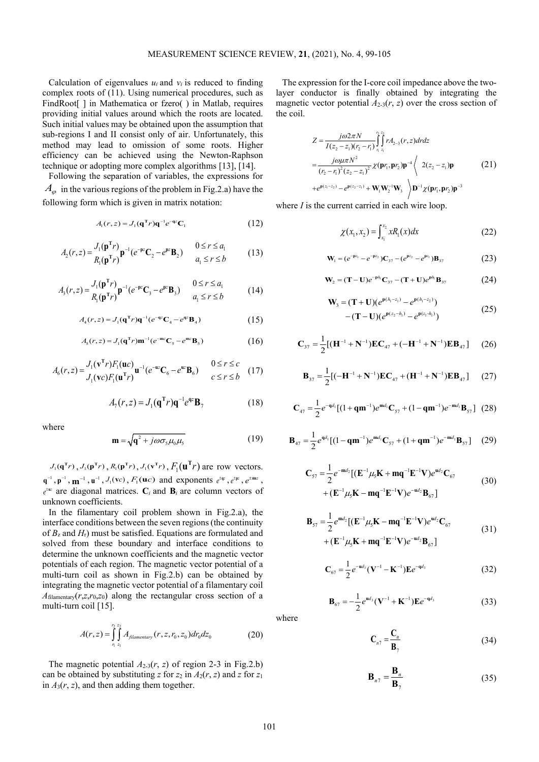Calculation of eigenvalues  $u_i$  and  $v_i$  is reduced to finding complex roots of (11). Using numerical procedures, such as FindRoot[] in Mathematica or fzero() in Matlab, requires providing initial values around which the roots are located. Such initial values may be obtained upon the assumption that sub-regions I and II consist only of air. Unfortunately, this method may lead to omission of some roots. Higher efficiency can be achieved using the Newton-Raphson technique or adopting more complex algorithms [13], [14].

Following the separation of variables, the expressions for  $A_{\varphi}$  in the various regions of the problem in Fig.2.a) have the following form which is given in matrix notation:

$$
A_1(r,z) = J_1(\mathbf{q}^{\mathrm{T}}r)\mathbf{q}^{-1}e^{-\mathbf{q}z}\mathbf{C}_1
$$
 (12)

$$
A_2(r,z) = \frac{J_1(\mathbf{p}^T r)}{R_1(\mathbf{p}^T r)} \mathbf{p}^{-1} (e^{-\mathbf{p}z} \mathbf{C}_2 - e^{\mathbf{p}z} \mathbf{B}_2) \qquad \begin{array}{c} 0 \le r \le a_1 \\ a_1 \le r \le b \end{array} \tag{13}
$$

$$
A_3(r, z) = \frac{J_1(\mathbf{p}^T r)}{R_1(\mathbf{p}^T r)} \mathbf{p}^{-1} (e^{-\mathbf{p}z} \mathbf{C}_3 - e^{\mathbf{p}z} \mathbf{B}_3) \qquad \begin{array}{c} 0 \le r \le a_1 \\ a_1 \le r \le b \end{array} \tag{14}
$$

$$
A_4(r, z) = J_1(\mathbf{q}^{\mathrm{T}} r) \mathbf{q}^{-1} (e^{-\mathbf{q} z} \mathbf{C}_4 - e^{\mathbf{q} z} \mathbf{B}_4)
$$
 (15)

$$
A_{5}(r,z) = J_{1}(\mathbf{q}^{\mathrm{T}}r)\mathbf{m}^{-1}(e^{-\mathbf{m}z}\mathbf{C}_{5} - e^{\mathbf{m}z}\mathbf{B}_{5})
$$
\n(16)

$$
A_6(r,z) = \frac{J_1(\mathbf{v}^T r)F_1(\mathbf{u}c)}{J_1(\mathbf{v}c)F_1(\mathbf{u}^T r)} \mathbf{u}^{-1}(e^{-\mathbf{u}z}\mathbf{C}_6 - e^{\mathbf{u}z}\mathbf{B}_6) \qquad \begin{array}{c} 0 \le r \le c \\ c \le r \le b \end{array} (17)
$$

$$
A_7(r,z) = J_1(\mathbf{q}^{\mathrm{T}}r)\mathbf{q}^{-1}e^{\mathbf{q}z}\mathbf{B}_7
$$
 (18)

where

$$
\mathbf{m} = \sqrt{\mathbf{q}^2 + j\omega\sigma_s\mu_0\mu_s}
$$
 (19)

 $J_1(\mathbf{q}^T r)$ ,  $J_1(\mathbf{p}^T r)$ ,  $R_1(\mathbf{p}^T r)$ ,  $J_1(\mathbf{v}^T r)$ ,  $F_1(\mathbf{u}^T r)$  are row vectors.  $q^{-1}$ ,  $p^{-1}$ ,  $m^{-1}$ ,  $u^{-1}$ ,  $J_1$ (vc),  $F_1$ (uc) and exponents  $e^{\pm qz}$ ,  $e^{\pm pz}$ ,  $e^{\pm mz}$ ,  $e^{i\theta}$  are diagonal matrices.  $C_i$  and  $B_i$  are column vectors of unknown coefficients.

In the filamentary coil problem shown in Fig.2.a), the interface conditions between the seven regions (the continuity of *B*<sup>z</sup> and *H*r) must be satisfied. Equations are formulated and solved from these boundary and interface conditions to determine the unknown coefficients and the magnetic vector potentials of each region. The magnetic vector potential of a multi-turn coil as shown in Fig.2.b) can be obtained by integrating the magnetic vector potential of a filamentary coil  $A$ <sub>filamentary( $r$ , $z$ , $r$ <sub>0</sub>, $z$ <sub>0</sub>) along the rectangular cross section of a</sub> multi-turn coil [15].

$$
A(r,z) = \int_{r_1}^{r_2} \int_{z_1}^{z_2} A_{filamentary}(r,z,r_0,z_0) dr_0 dz_0
$$
 (20)

The magnetic potential  $A_{2-3}(r, z)$  of region 2-3 in Fig.2.b) can be obtained by substituting *z* for  $z_2$  in  $A_2(r, z)$  and *z* for  $z_1$ in  $A_3(r, z)$ , and then adding them together.

The expression for the I-core coil impedance above the twolayer conductor is finally obtained by integrating the magnetic vector potential  $A_{2-3}(r, z)$  over the cross section of the coil.

$$
Z = \frac{j\omega 2\pi N}{I(z_2 - z_1)(r_2 - r_1)} \int_{r_1}^{r_2} \int_{r_1}^{r_2} r A_{2-3}(r, z) dr dz
$$
  
= 
$$
\frac{j\omega \mu \pi N^2}{(r_2 - r_1)^2 (z_2 - z_1)^2} \chi(\mathbf{p} r_1, \mathbf{p} r_2) \mathbf{p}^{-4} \left\langle 2(z_2 - z_1) \mathbf{p} \right\rangle
$$
  
+ 
$$
e^{\mathbf{p}(z_1 - z_2)} - e^{\mathbf{p}(z_2 - z_1)} + \mathbf{W}_1 \mathbf{W}_2^{-1} \mathbf{W}_3 \right\rangle \mathbf{D}^{-1} \chi(\mathbf{p} r_1, \mathbf{p} r_2) \mathbf{p}^{-3}
$$
 (21)

where *I* is the current carried in each wire loop.

$$
\chi(x_1, x_2) = \int_{x_1}^{x_2} x R_1(x) dx \tag{22}
$$

$$
\mathbf{W}_{1} = (e^{-\mathbf{p}z_{1}} - e^{-\mathbf{p}z_{2}})\mathbf{C}_{37} - (e^{\mathbf{p}z_{2}} - e^{\mathbf{p}z_{1}})\mathbf{B}_{37}
$$
 (23)

$$
\mathbf{W}_{2} = (\mathbf{T} - \mathbf{U})e^{-\mathbf{p}h_{1}}\mathbf{C}_{37} - (\mathbf{T} + \mathbf{U})e^{\mathbf{p}h_{1}}\mathbf{B}_{37}
$$
 (24)

$$
\mathbf{W}_{3} = (\mathbf{T} + \mathbf{U})(e^{\mathbf{p}(h_{1} - z_{1})} - e^{\mathbf{p}(h_{1} - z_{2})})
$$
  
-( $\mathbf{T} - \mathbf{U}$ )( $e^{\mathbf{p}(z_{2} - h_{1})} - e^{\mathbf{p}(z_{1} - h_{1})}$ ) (25)

$$
C_{37} = \frac{1}{2}[(H^{-1} + N^{-1})EC_{47} + (-H^{-1} + N^{-1})EB_{47}] \qquad (26)
$$

$$
\mathbf{B}_{37} = \frac{1}{2} [(-\mathbf{H}^{-1} + \mathbf{N}^{-1}) \mathbf{E} \mathbf{C}_{47} + (\mathbf{H}^{-1} + \mathbf{N}^{-1}) \mathbf{E} \mathbf{B}_{47}] \qquad (27)
$$

$$
C_{47} = \frac{1}{2}e^{-qd_1}[(1+q\mathbf{m}^{-1})e^{\mathbf{m}d_1}C_{57} + (1-q\mathbf{m}^{-1})e^{-\mathbf{m}d_1}\mathbf{B}_{57}] (28)
$$

$$
\mathbf{B}_{47} = \frac{1}{2} e^{\mathbf{q}d_1} [(1 - \mathbf{q} \mathbf{m}^{-1}) e^{\mathbf{m}d_1} \mathbf{C}_{57} + (1 + \mathbf{q} \mathbf{m}^{-1}) e^{-\mathbf{m}d_1} \mathbf{B}_{57}] \tag{29}
$$

$$
C_{57} = \frac{1}{2} e^{-md_2} [ (E^{-1} \mu_5 K + mq^{-1} E^{-1} V) e^{ud_2} C_{67}
$$
  
+ 
$$
(E^{-1} \mu_5 K - mq^{-1} E^{-1} V) e^{-ud_2} B_{67} ]
$$
(30)

$$
\mathbf{B}_{57} = \frac{1}{2} e^{\mathbf{m} d_2} [(\mathbf{E}^{-1} \mu_5 \mathbf{K} - \mathbf{m} \mathbf{q}^{-1} \mathbf{E}^{-1} \mathbf{V}) e^{\mathbf{u} d_2} \mathbf{C}_{67} + (\mathbf{E}^{-1} \mu_5 \mathbf{K} + \mathbf{m} \mathbf{q}^{-1} \mathbf{E}^{-1} \mathbf{V}) e^{-\mathbf{u} d_2} \mathbf{B}_{67}] \tag{31}
$$

$$
C_{67} = \frac{1}{2}e^{-ud_3}(V^{-1} - K^{-1})Ee^{-qd_3}
$$
 (32)

$$
\mathbf{B}_{67} = -\frac{1}{2}e^{\mathbf{u}d_3}(\mathbf{V}^{-1} + \mathbf{K}^{-1})\mathbf{E}e^{-\mathbf{q}d_3}
$$
 (33)

where

$$
\mathbf{C}_{n7} = \frac{\mathbf{C}_n}{\mathbf{B}_7} \tag{34}
$$

$$
\mathbf{B}_{n7} = \frac{\mathbf{B}_n}{\mathbf{B}_7}
$$
 (35)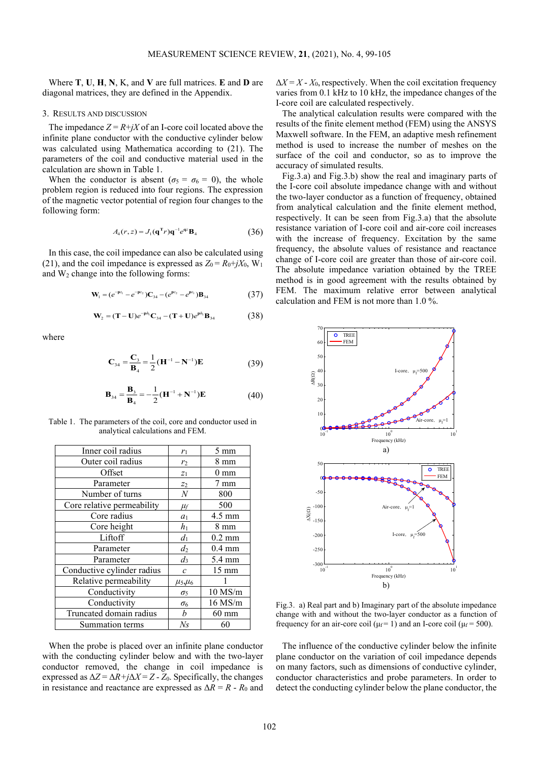Where **T**, **U**, **H**, **N**, K, and **V** are full matrices. **E** and **D** are diagonal matrices, they are defined in the Appendix.

#### 3. RESULTS AND DISCUSSION

The impedance  $Z = R + jX$  of an I-core coil located above the infinite plane conductor with the conductive cylinder below was calculated using Mathematica according to (21). The parameters of the coil and conductive material used in the calculation are shown in Table 1.

When the conductor is absent ( $\sigma_5 = \sigma_6 = 0$ ), the whole problem region is reduced into four regions. The expression of the magnetic vector potential of region four changes to the following form:

$$
A_4(r,z) = J_1(\mathbf{q}^{\mathrm{T}}r)\mathbf{q}^{-1}e^{qz}\mathbf{B}_4
$$
 (36)

In this case, the coil impedance can also be calculated using (21), and the coil impedance is expressed as  $Z_0 = R_0 + jX_0$ , W<sub>1</sub> and  $W_2$  change into the following forms:

$$
\mathbf{W}_{1} = (e^{-\mathbf{p}z_{1}} - e^{-\mathbf{p}z_{2}})\mathbf{C}_{34} - (e^{\mathbf{p}z_{2}} - e^{\mathbf{p}z_{1}})\mathbf{B}_{34}
$$
(37)

$$
\mathbf{W}_{2} = (\mathbf{T} - \mathbf{U})e^{-\mathbf{p}h} \mathbf{C}_{34} - (\mathbf{T} + \mathbf{U})e^{\mathbf{p}h} \mathbf{B}_{34}
$$
 (38)

where

$$
C_{34} = \frac{C_3}{B_4} = \frac{1}{2} (H^{-1} - N^{-1}) E
$$
 (39)

$$
\mathbf{B}_{34} = \frac{\mathbf{B}_3}{\mathbf{B}_4} = -\frac{1}{2} (\mathbf{H}^{-1} + \mathbf{N}^{-1}) \mathbf{E}
$$
(40)

Table 1. The parameters of the coil, core and conductor used in analytical calculations and FEM.

| Inner coil radius          | $r_1$                                 | 5 mm             |
|----------------------------|---------------------------------------|------------------|
| Outer coil radius          | r <sub>2</sub>                        | 8 mm             |
| Offset                     | $Z_1$                                 | $0 \text{ mm}$   |
| Parameter                  | Z <sub>2</sub>                        | 7 mm             |
| Number of turns            | $\boldsymbol{N}$                      | 800              |
| Core relative permeability | $\mu_f$                               | 500              |
| Core radius                | a <sub>1</sub>                        | $4.5 \text{ mm}$ |
| Core height                | $h_1$                                 | 8 mm             |
| Liftoff                    | $d_1$                                 | $0.2 \text{ mm}$ |
| Parameter                  | $d_2$                                 | $0.4 \text{ mm}$ |
| Parameter                  | $d_3$                                 | 5.4 mm           |
| Conductive cylinder radius | $\mathcal{C}_{0}$                     | 15 mm            |
| Relative permeability      | $\mu$ <sub>5</sub> $\mu$ <sub>6</sub> |                  |
| Conductivity               | $\sigma_5$                            | $10$ MS/m        |
| Conductivity               | $\sigma_6$                            | 16 MS/m          |
| Truncated domain radius    | b                                     | $60$ mm          |
| Summation terms            | Ns                                    | 60               |

When the probe is placed over an infinite plane conductor with the conducting cylinder below and with the two-layer conductor removed, the change in coil impedance is expressed as  $\Delta Z = \Delta R + j\Delta X = Z - Z_0$ . Specifically, the changes in resistance and reactance are expressed as  $\Delta R = R - R_0$  and  $\Delta X = X - X_0$ , respectively. When the coil excitation frequency varies from 0.1 kHz to 10 kHz, the impedance changes of the I-core coil are calculated respectively.

The analytical calculation results were compared with the results of the finite element method (FEM) using the ANSYS Maxwell software. In the FEM, an adaptive mesh refinement method is used to increase the number of meshes on the surface of the coil and conductor, so as to improve the accuracy of simulated results.

Fig.3.a) and Fig.3.b) show the real and imaginary parts of the I-core coil absolute impedance change with and without the two-layer conductor as a function of frequency, obtained from analytical calculation and the finite element method, respectively. It can be seen from Fig.3.a) that the absolute resistance variation of I-core coil and air-core coil increases with the increase of frequency. Excitation by the same frequency, the absolute values of resistance and reactance change of I-core coil are greater than those of air-core coil. The absolute impedance variation obtained by the TREE method is in good agreement with the results obtained by FEM. The maximum relative error between analytical calculation and FEM is not more than 1.0 %.



Fig.3. a) Real part and b) Imaginary part of the absolute impedance change with and without the two-layer conductor as a function of frequency for an air-core coil ( $\mu$  $= 1$ ) and an I-core coil ( $\mu$  $= 500$ ).

The influence of the conductive cylinder below the infinite plane conductor on the variation of coil impedance depends on many factors, such as dimensions of conductive cylinder, conductor characteristics and probe parameters. In order to detect the conducting cylinder below the plane conductor, the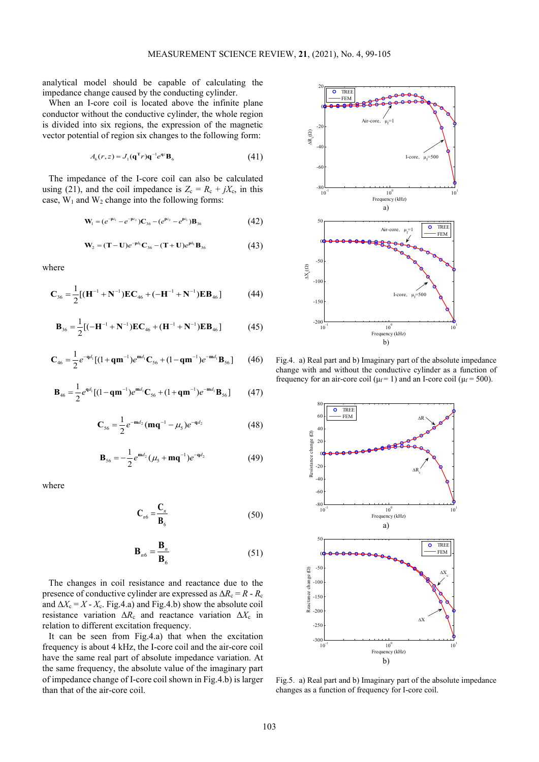analytical model should be capable of calculating the impedance change caused by the conducting cylinder.

When an I-core coil is located above the infinite plane conductor without the conductive cylinder, the whole region is divided into six regions, the expression of the magnetic vector potential of region six changes to the following form:

$$
A_6(r, z) = J_1(\mathbf{q}^{\mathrm{T}} r) \mathbf{q}^{-1} e^{\mathbf{q} z} \mathbf{B}_6
$$
 (41)

The impedance of the I-core coil can also be calculated using (21), and the coil impedance is  $Z_c = R_c + jX_c$ , in this case,  $W_1$  and  $W_2$  change into the following forms:

$$
\mathbf{W}_{1} = (e^{-\mathbf{p}z_{1}} - e^{-\mathbf{p}z_{2}})\mathbf{C}_{36} - (e^{\mathbf{p}z_{2}} - e^{\mathbf{p}z_{1}})\mathbf{B}_{36}
$$
(42)

$$
\mathbf{W}_{2} = (\mathbf{T} - \mathbf{U})e^{-\mathbf{p}h_{1}}\mathbf{C}_{36} - (\mathbf{T} + \mathbf{U})e^{\mathbf{p}h_{1}}\mathbf{B}_{36}
$$
(43)

where

$$
\mathbf{C}_{36} = \frac{1}{2} [(\mathbf{H}^{-1} + \mathbf{N}^{-1}) \mathbf{E} \mathbf{C}_{46} + (-\mathbf{H}^{-1} + \mathbf{N}^{-1}) \mathbf{E} \mathbf{B}_{46}] \tag{44}
$$

$$
\mathbf{B}_{36} = \frac{1}{2} [(-\mathbf{H}^{-1} + \mathbf{N}^{-1}) \mathbf{E} \mathbf{C}_{46} + (\mathbf{H}^{-1} + \mathbf{N}^{-1}) \mathbf{E} \mathbf{B}_{46}] \tag{45}
$$

$$
\mathbf{C}_{46} = \frac{1}{2} e^{-q d_1} [(1 + q \mathbf{m}^{-1}) e^{\mathbf{m} d_1} \mathbf{C}_{56} + (1 - q \mathbf{m}^{-1}) e^{-\mathbf{m} d_1} \mathbf{B}_{56}] \tag{46}
$$

$$
\mathbf{B}_{46} = \frac{1}{2} e^{\mathbf{q} d_1} [(1 - \mathbf{q} \mathbf{m}^{-1}) e^{\mathbf{m} d_1} \mathbf{C}_{56} + (1 + \mathbf{q} \mathbf{m}^{-1}) e^{-\mathbf{m} d_1} \mathbf{B}_{56}] \tag{47}
$$

$$
C_{56} = \frac{1}{2} e^{-md_2} (mq^{-1} - \mu_5) e^{-qd_2}
$$
 (48)

$$
\mathbf{B}_{56} = -\frac{1}{2} e^{\mathbf{m} d_2} (\mu_5 + \mathbf{m} \mathbf{q}^{-1}) e^{-q d_2}
$$
 (49)

where

$$
\mathbf{C}_{n6} = \frac{\mathbf{C}_n}{\mathbf{B}_6} \tag{50}
$$

$$
\mathbf{B}_{n6} = \frac{\mathbf{B}_n}{\mathbf{B}_6} \tag{51}
$$

The changes in coil resistance and reactance due to the presence of conductive cylinder are expressed as  $\Delta R_c = R - R_c$ and  $\Delta X_c = X - X_c$ . Fig.4.a) and Fig.4.b) show the absolute coil resistance variation  $\Delta R_c$  and reactance variation  $\Delta X_c$  in relation to different excitation frequency.

It can be seen from Fig.4.a) that when the excitation frequency is about 4 kHz, the I-core coil and the air-core coil have the same real part of absolute impedance variation. At the same frequency, the absolute value of the imaginary part of impedance change of I-core coil shown in Fig.4.b) is larger than that of the air-core coil.



Fig.4. a) Real part and b) Imaginary part of the absolute impedance change with and without the conductive cylinder as a function of frequency for an air-core coil ( $\mu$ f = 1) and an I-core coil ( $\mu$ f = 500).



Fig.5. a) Real part and b) Imaginary part of the absolute impedance changes as a function of frequency for I-core coil.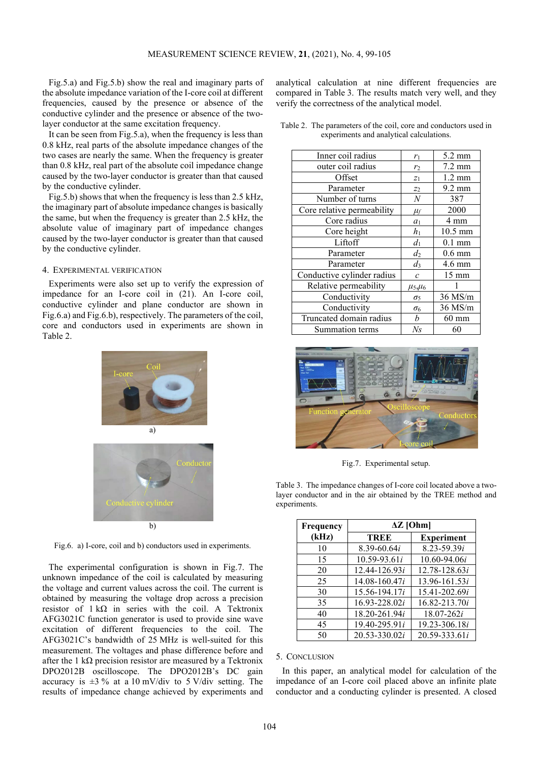Fig.5.a) and Fig.5.b) show the real and imaginary parts of the absolute impedance variation of the I-core coil at different frequencies, caused by the presence or absence of the conductive cylinder and the presence or absence of the twolayer conductor at the same excitation frequency.

It can be seen from Fig.5.a), when the frequency is less than 0.8 kHz, real parts of the absolute impedance changes of the two cases are nearly the same. When the frequency is greater than 0.8 kHz, real part of the absolute coil impedance change caused by the two-layer conductor is greater than that caused by the conductive cylinder.

Fig.5.b) shows that when the frequency is less than 2.5 kHz, the imaginary part of absolute impedance changes is basically the same, but when the frequency is greater than 2.5 kHz, the absolute value of imaginary part of impedance changes caused by the two-layer conductor is greater than that caused by the conductive cylinder.

#### 4. EXPERIMENTAL VERIFICATION

Experiments were also set up to verify the expression of impedance for an I-core coil in (21). An I-core coil, conductive cylinder and plane conductor are shown in Fig.6.a) and Fig.6.b), respectively. The parameters of the coil, core and conductors used in experiments are shown in Table 2.



Fig.6. a) I-core, coil and b) conductors used in experiments.

The experimental configuration is shown in Fig.7. The unknown impedance of the coil is calculated by measuring the voltage and current values across the coil. The current is obtained by measuring the voltage drop across a precision resistor of  $1 k\Omega$  in series with the coil. A Tektronix AFG3021C function generator is used to provide sine wave excitation of different frequencies to the coil. The AFG3021C's bandwidth of 25 MHz is well-suited for this measurement. The voltages and phase difference before and after the 1 k $\Omega$  precision resistor are measured by a Tektronix DPO2012B oscilloscope. The DPO2012B's DC gain accuracy is  $\pm 3\%$  at a 10 mV/div to 5 V/div setting. The results of impedance change achieved by experiments and

analytical calculation at nine different frequencies are compared in Table 3. The results match very well, and they verify the correctness of the analytical model.

Table 2. The parameters of the coil, core and conductors used in experiments and analytical calculations.

| Inner coil radius          |                  | 5.2 mm           |
|----------------------------|------------------|------------------|
|                            | $r_1$            |                  |
| outer coil radius          | r <sub>2</sub>   | $7.2 \text{ mm}$ |
| Offset                     | $Z_1$            | $1.2 \text{ mm}$ |
| Parameter                  | $\mathbb{Z}_2$   | $9.2 \text{ mm}$ |
| Number of turns            | $\boldsymbol{N}$ | 387              |
| Core relative permeability | $\mu_f$          | 2000             |
| Core radius                | $a_1$            | 4 mm             |
| Core height                | $h_1$            | $10.5$ mm        |
| Liftoff                    | $d_1$            | $0.1$ mm         |
| Parameter                  | $d_2$            | $0.6$ mm         |
| Parameter                  | $d_3$            | 4.6 mm           |
| Conductive cylinder radius | $\mathcal{C}$    | 15 mm            |
| Relative permeability      | $\mu_5,\mu_6$    |                  |
| Conductivity               | $\sigma_5$       | $36$ MS/m        |
| Conductivity               | $\sigma_6$       | $36$ MS/m        |
| Truncated domain radius    | b                | $60 \text{ mm}$  |
| Summation terms            | Ns               | 60               |



Fig.7. Experimental setup.

Table 3. The impedance changes of I-core coil located above a twolayer conductor and in the air obtained by the TREE method and experiments.

| Frequency | $\Delta Z$ [Ohm]  |                   |  |
|-----------|-------------------|-------------------|--|
| (kHz)     | <b>TREE</b>       | <b>Experiment</b> |  |
| 10        | 8.39-60.64i       | $8.23 - 59.39i$   |  |
| 15        | $10.59 - 93.61i$  | $10.60 - 94.06i$  |  |
| 20        | 12.44-126.93i     | 12.78-128.63i     |  |
| 25        | 14.08-160.47i     | 13.96-161.53i     |  |
| 30        | 15.56-194.17i     | 15.41-202.69i     |  |
| 35        | 16.93-228.02i     | 16.82-213.70i     |  |
| 40        | 18.20-261.94i     | $18.07 - 262i$    |  |
| 45        | 19.40-295.91i     | 19.23-306.18i     |  |
| 50        | $20.53 - 330.02i$ | 20.59-333.61i     |  |

#### 5. CONCLUSION

In this paper, an analytical model for calculation of the impedance of an I-core coil placed above an infinite plate conductor and a conducting cylinder is presented. A closed